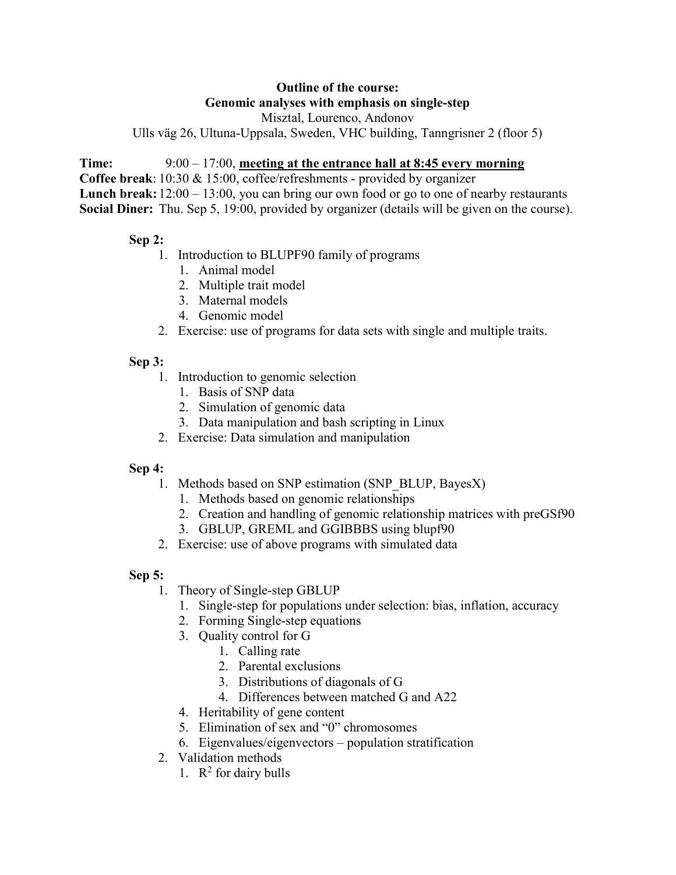# Outline of the course: Genomic analyses with emphasis on single-step

Misztal, Lourenco, Andonov

Ulls väg 26, Ultuna-Uppsala, Sweden, VHC building, Tanngrisner 2 (floor 5)

#### Time: 9:00 – 17:00, meeting at the entrance hall at 8:45 every morning

Coffee break: 10:30 & 15:00, coffee/refreshments - provided by organizer

Lunch break:  $12:00 - 13:00$ , you can bring our own food or go to one of nearby restaurants Social Diner: Thu. Sep 5, 19:00, provided by organizer (details will be given on the course).

#### Sep 2:

- 1. Introduction to BLUPF90 family of programs
	- 1. Animal model
	- 2. Multiple trait model
	- 3. Maternal models
	- 4. Genomic model
- 2. Exercise: use of programs for data sets with single and multiple traits.

## Sep 3:

- 1. Introduction to genomic selection
	- 1. Basis of SNP data
	- 2. Simulation of genomic data
	- 3. Data manipulation and bash scripting in Linux
- 2. Exercise: Data simulation and manipulation

## Sep 4:

- 1. Methods based on SNP estimation (SNP\_BLUP, BayesX)
	- 1. Methods based on genomic relationships
	- 2. Creation and handling of genomic relationship matrices with preGSf90
	- 3. GBLUP, GREML and GGIBBBS using blupf90
- 2. Exercise: use of above programs with simulated data

## Sep 5:

- 1. Theory of Single-step GBLUP
	- 1. Single-step for populations under selection: bias, inflation, accuracy
	- 2. Forming Single-step equations
	- 3. Quality control for G
		- 1. Calling rate
			- 2. Parental exclusions
			- 3. Distributions of diagonals of G
			- 4. Differences between matched G and A22
	- 4. Heritability of gene content
	- 5. Elimination of sex and "0" chromosomes
	- 6. Eigenvalues/eigenvectors population stratification
- 2. Validation methods
	- 1.  $\mathbb{R}^2$  for dairy bulls